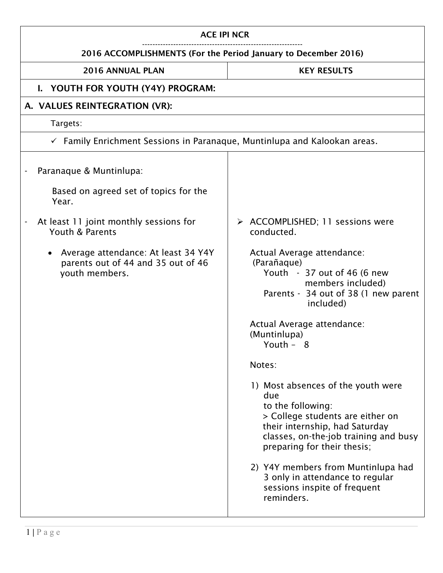| <b>ACE IPI NCR</b>                                                                                                                                       |                                                                                                                                                                                                                                                                                                                                                                                                                                                                                                                                                                                                                   |  |
|----------------------------------------------------------------------------------------------------------------------------------------------------------|-------------------------------------------------------------------------------------------------------------------------------------------------------------------------------------------------------------------------------------------------------------------------------------------------------------------------------------------------------------------------------------------------------------------------------------------------------------------------------------------------------------------------------------------------------------------------------------------------------------------|--|
| 2016 ACCOMPLISHMENTS (For the Period January to December 2016)                                                                                           |                                                                                                                                                                                                                                                                                                                                                                                                                                                                                                                                                                                                                   |  |
| 2016 ANNUAL PLAN                                                                                                                                         | <b>KEY RESULTS</b>                                                                                                                                                                                                                                                                                                                                                                                                                                                                                                                                                                                                |  |
| I. YOUTH FOR YOUTH (Y4Y) PROGRAM:                                                                                                                        |                                                                                                                                                                                                                                                                                                                                                                                                                                                                                                                                                                                                                   |  |
| A. VALUES REINTEGRATION (VR):                                                                                                                            |                                                                                                                                                                                                                                                                                                                                                                                                                                                                                                                                                                                                                   |  |
| Targets:                                                                                                                                                 |                                                                                                                                                                                                                                                                                                                                                                                                                                                                                                                                                                                                                   |  |
| $\checkmark$ Family Enrichment Sessions in Paranaque, Muntinlupa and Kalookan areas.                                                                     |                                                                                                                                                                                                                                                                                                                                                                                                                                                                                                                                                                                                                   |  |
| Paranaque & Muntinlupa:<br>Based on agreed set of topics for the<br>Year.                                                                                |                                                                                                                                                                                                                                                                                                                                                                                                                                                                                                                                                                                                                   |  |
| At least 11 joint monthly sessions for<br>Youth & Parents<br>Average attendance: At least 34 Y4Y<br>parents out of 44 and 35 out of 46<br>youth members. | > ACCOMPLISHED; 11 sessions were<br>conducted.<br>Actual Average attendance:<br>(Parañaque)<br>Youth - 37 out of 46 (6 new<br>members included)<br>Parents - 34 out of 38 (1 new parent<br>included)<br>Actual Average attendance:<br>(Muntinlupa)<br>Youth $-8$<br>Notes:<br>1) Most absences of the youth were<br>due<br>to the following:<br>> College students are either on<br>their internship, had Saturday<br>classes, on-the-job training and busy<br>preparing for their thesis;<br>2) Y4Y members from Muntinlupa had<br>3 only in attendance to regular<br>sessions inspite of frequent<br>reminders. |  |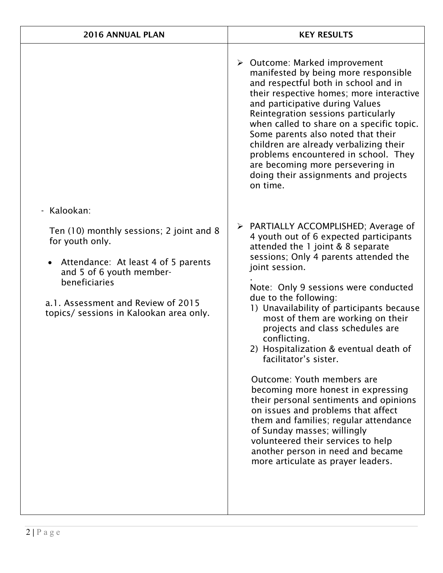| 2016 ANNUAL PLAN                                                                                                                                                                                                                                | <b>KEY RESULTS</b>                                                                                                                                                                                                                                                                                                                                                                                                                                                                                                                                                                                                                                                                                                                                                                                    |
|-------------------------------------------------------------------------------------------------------------------------------------------------------------------------------------------------------------------------------------------------|-------------------------------------------------------------------------------------------------------------------------------------------------------------------------------------------------------------------------------------------------------------------------------------------------------------------------------------------------------------------------------------------------------------------------------------------------------------------------------------------------------------------------------------------------------------------------------------------------------------------------------------------------------------------------------------------------------------------------------------------------------------------------------------------------------|
|                                                                                                                                                                                                                                                 | $\triangleright$ Outcome: Marked improvement<br>manifested by being more responsible<br>and respectful both in school and in<br>their respective homes; more interactive<br>and participative during Values<br>Reintegration sessions particularly<br>when called to share on a specific topic.<br>Some parents also noted that their<br>children are already verbalizing their<br>problems encountered in school. They<br>are becoming more persevering in<br>doing their assignments and projects<br>on time.                                                                                                                                                                                                                                                                                       |
| - Kalookan:<br>Ten (10) monthly sessions; 2 joint and 8<br>for youth only.<br>Attendance: At least 4 of 5 parents<br>and 5 of 6 youth member-<br>beneficiaries<br>a.1. Assessment and Review of 2015<br>topics/ sessions in Kalookan area only. | > PARTIALLY ACCOMPLISHED; Average of<br>4 youth out of 6 expected participants<br>attended the 1 joint & 8 separate<br>sessions; Only 4 parents attended the<br>joint session.<br>Note: Only 9 sessions were conducted<br>due to the following:<br>1) Unavailability of participants because<br>most of them are working on their<br>projects and class schedules are<br>conflicting.<br>2) Hospitalization & eventual death of<br>facilitator's sister.<br>Outcome: Youth members are<br>becoming more honest in expressing<br>their personal sentiments and opinions<br>on issues and problems that affect<br>them and families; regular attendance<br>of Sunday masses; willingly<br>volunteered their services to help<br>another person in need and became<br>more articulate as prayer leaders. |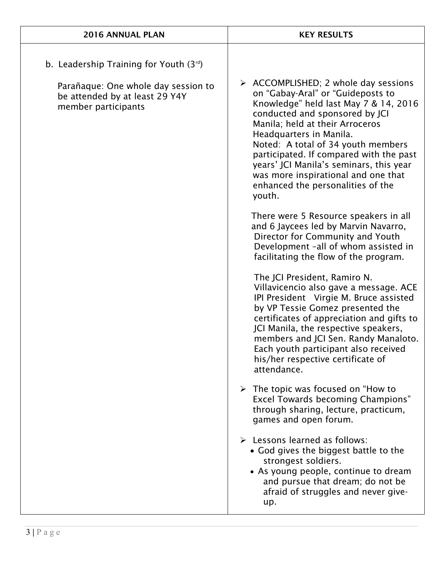| 2016 ANNUAL PLAN                                                                                                                            | <b>KEY RESULTS</b>                                                                                                                                                                                                                                                                                                                                                                                                                                                                                                                                                                                                                                                                                                                                                                                                                                                                                                                                                                                                                                                               |
|---------------------------------------------------------------------------------------------------------------------------------------------|----------------------------------------------------------------------------------------------------------------------------------------------------------------------------------------------------------------------------------------------------------------------------------------------------------------------------------------------------------------------------------------------------------------------------------------------------------------------------------------------------------------------------------------------------------------------------------------------------------------------------------------------------------------------------------------------------------------------------------------------------------------------------------------------------------------------------------------------------------------------------------------------------------------------------------------------------------------------------------------------------------------------------------------------------------------------------------|
| b. Leadership Training for Youth $(3^{rd})$<br>Parañaque: One whole day session to<br>be attended by at least 29 Y4Y<br>member participants | > ACCOMPLISHED; 2 whole day sessions<br>on "Gabay-Aral" or "Guideposts to<br>Knowledge" held last May 7 & 14, 2016<br>conducted and sponsored by JCI<br>Manila; held at their Arroceros<br>Headquarters in Manila.<br>Noted: A total of 34 youth members<br>participated. If compared with the past<br>years' JCI Manila's seminars, this year<br>was more inspirational and one that<br>enhanced the personalities of the<br>youth.<br>There were 5 Resource speakers in all<br>and 6 Jaycees led by Marvin Navarro,<br>Director for Community and Youth<br>Development -all of whom assisted in<br>facilitating the flow of the program.<br>The JCI President, Ramiro N.<br>Villavicencio also gave a message. ACE<br>IPI President Virgie M. Bruce assisted<br>by VP Tessie Gomez presented the<br>certificates of appreciation and gifts to<br>JCI Manila, the respective speakers,<br>members and JCI Sen. Randy Manaloto.<br>Each youth participant also received<br>his/her respective certificate of<br>attendance.<br>$\triangleright$ The topic was focused on "How to |
|                                                                                                                                             | <b>Excel Towards becoming Champions"</b><br>through sharing, lecture, practicum,<br>games and open forum.                                                                                                                                                                                                                                                                                                                                                                                                                                                                                                                                                                                                                                                                                                                                                                                                                                                                                                                                                                        |
|                                                                                                                                             | $\triangleright$ Lessons learned as follows:<br>• God gives the biggest battle to the<br>strongest soldiers.<br>• As young people, continue to dream<br>and pursue that dream; do not be<br>afraid of struggles and never give-<br>up.                                                                                                                                                                                                                                                                                                                                                                                                                                                                                                                                                                                                                                                                                                                                                                                                                                           |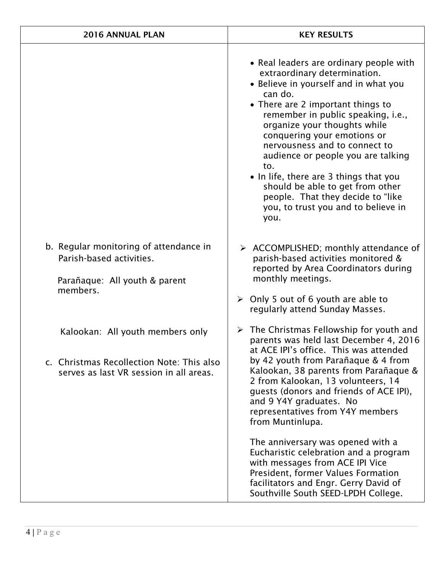| 2016 ANNUAL PLAN                                                                                                         | <b>KEY RESULTS</b>                                                                                                                                                                                                                                                                                                                                                                                                                                                                                                                                                                              |
|--------------------------------------------------------------------------------------------------------------------------|-------------------------------------------------------------------------------------------------------------------------------------------------------------------------------------------------------------------------------------------------------------------------------------------------------------------------------------------------------------------------------------------------------------------------------------------------------------------------------------------------------------------------------------------------------------------------------------------------|
|                                                                                                                          | • Real leaders are ordinary people with<br>extraordinary determination.<br>• Believe in yourself and in what you<br>can do.<br>• There are 2 important things to<br>remember in public speaking, i.e.,<br>organize your thoughts while<br>conquering your emotions or<br>nervousness and to connect to<br>audience or people you are talking<br>to.<br>• In life, there are 3 things that you<br>should be able to get from other<br>people. That they decide to "like<br>you, to trust you and to believe in<br>you.                                                                           |
| b. Regular monitoring of attendance in<br>Parish-based activities.<br>Parañaque: All youth & parent<br>members.          | > ACCOMPLISHED; monthly attendance of<br>parish-based activities monitored &<br>reported by Area Coordinators during<br>monthly meetings.<br>$\triangleright$ Only 5 out of 6 youth are able to<br>regularly attend Sunday Masses.                                                                                                                                                                                                                                                                                                                                                              |
| Kalookan: All youth members only<br>c. Christmas Recollection Note: This also<br>serves as last VR session in all areas. | $\triangleright$ The Christmas Fellowship for youth and<br>parents was held last December 4, 2016<br>at ACE IPI's office. This was attended<br>by 42 youth from Parañaque & 4 from<br>Kalookan, 38 parents from Parañaque &<br>2 from Kalookan, 13 volunteers, 14<br>quests (donors and friends of ACE IPI),<br>and 9 Y4Y graduates. No<br>representatives from Y4Y members<br>from Muntinlupa.<br>The anniversary was opened with a<br>Eucharistic celebration and a program<br>with messages from ACE IPI Vice<br>President, former Values Formation<br>facilitators and Engr. Gerry David of |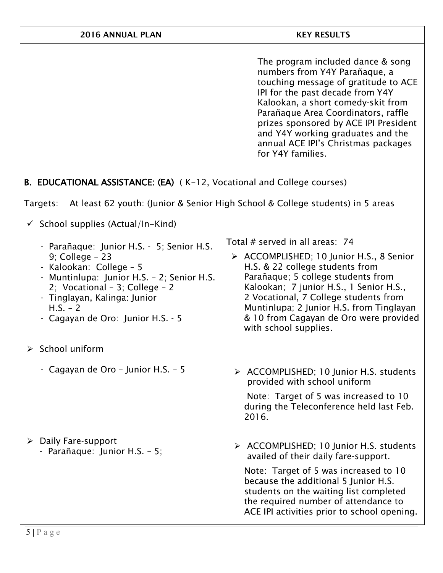| 2016 ANNUAL PLAN                                                                                                                                                                                                                                                                                                                 | <b>KEY RESULTS</b>                                                                                                                                                                                                                                                                                                                                                    |
|----------------------------------------------------------------------------------------------------------------------------------------------------------------------------------------------------------------------------------------------------------------------------------------------------------------------------------|-----------------------------------------------------------------------------------------------------------------------------------------------------------------------------------------------------------------------------------------------------------------------------------------------------------------------------------------------------------------------|
|                                                                                                                                                                                                                                                                                                                                  | The program included dance & song<br>numbers from Y4Y Parañaque, a<br>touching message of gratitude to ACE<br>IPI for the past decade from Y4Y<br>Kalookan, a short comedy-skit from<br>Parañaque Area Coordinators, raffle<br>prizes sponsored by ACE IPI President<br>and Y4Y working graduates and the<br>annual ACE IPI's Christmas packages<br>for Y4Y families. |
| B. EDUCATIONAL ASSISTANCE: (EA) (K-12, Vocational and College courses)                                                                                                                                                                                                                                                           |                                                                                                                                                                                                                                                                                                                                                                       |
| Targets:                                                                                                                                                                                                                                                                                                                         | At least 62 youth: (Junior & Senior High School & College students) in 5 areas                                                                                                                                                                                                                                                                                        |
| $\checkmark$ School supplies (Actual/In-Kind)<br>- Parañaque: Junior H.S. - 5; Senior H.S.<br>$9$ ; College - 23<br>- Kalookan: College - 5<br>Muntinlupa: Junior H.S. - 2; Senior H.S.<br>2; Vocational - 3; College - 2<br>- Tinglayan, Kalinga: Junior<br>$H.S. - 2$<br>- Cagayan de Oro: Junior H.S. - 5<br>> School uniform | Total # served in all areas: 74<br>> ACCOMPLISHED; 10 Junior H.S., 8 Senior<br>H.S. & 22 college students from<br>Parañaque; 5 college students from<br>Kalookan; 7 junior H.S., 1 Senior H.S.,<br>2 Vocational, 7 College students from<br>Muntinlupa; 2 Junior H.S. from Tinglayan<br>& 10 from Cagayan de Oro were provided<br>with school supplies.               |
| Cagayan de Oro - Junior H.S. - 5                                                                                                                                                                                                                                                                                                 | > ACCOMPLISHED; 10 Junior H.S. students<br>provided with school uniform<br>Note: Target of 5 was increased to 10<br>during the Teleconference held last Feb.<br>2016.                                                                                                                                                                                                 |
| Daily Fare-support<br>≻<br>- Parañaque: Junior H.S. - 5;                                                                                                                                                                                                                                                                         | > ACCOMPLISHED; 10 Junior H.S. students<br>availed of their daily fare-support.<br>Note: Target of 5 was increased to 10<br>because the additional 5 Junior H.S.<br>students on the waiting list completed<br>the required number of attendance to<br>ACE IPI activities prior to school opening.                                                                     |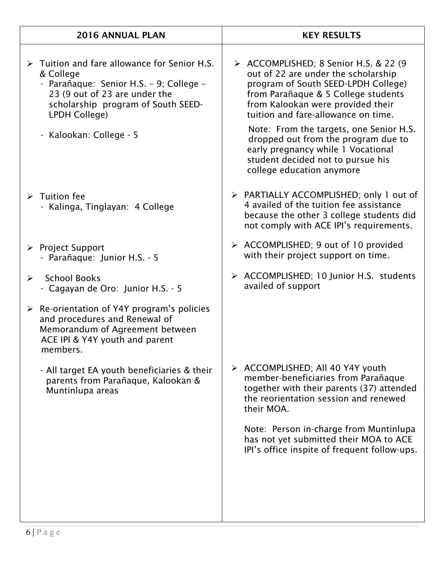|                       | 2016 ANNUAL PLAN                                                                                                                                                                                            | <b>KEY RESULTS</b>                                                                                                                                                                                                                      |
|-----------------------|-------------------------------------------------------------------------------------------------------------------------------------------------------------------------------------------------------------|-----------------------------------------------------------------------------------------------------------------------------------------------------------------------------------------------------------------------------------------|
|                       | $\triangleright$ Tuition and fare allowance for Senior H.S.<br>& College<br>- Parañaque: Senior H.S. - 9; College -<br>23 (9 out of 23 are under the<br>scholarship program of South SEED-<br>LPDH College) | > ACCOMPLISHED; 8 Senior H.S. & 22 (9)<br>out of 22 are under the scholarship<br>program of South SEED-LPDH College)<br>from Parañaque & 5 College students<br>from Kalookan were provided their<br>tuition and fare-allowance on time. |
|                       | - Kalookan: College - 5                                                                                                                                                                                     | Note: From the targets, one Senior H.S.<br>dropped out from the program due to<br>early pregnancy while 1 Vocational<br>student decided not to pursue his<br>college education anymore                                                  |
|                       | $\triangleright$ Tuition fee<br>- Kalinga, Tinglayan: 4 College                                                                                                                                             | > PARTIALLY ACCOMPLISHED; only 1 out of<br>4 availed of the tuition fee assistance<br>because the other 3 college students did<br>not comply with ACE IPI's requirements.                                                               |
|                       | $\triangleright$ Project Support<br>- Parañaque: Junior H.S. - 5                                                                                                                                            | > ACCOMPLISHED; 9 out of 10 provided<br>with their project support on time.                                                                                                                                                             |
| $\blacktriangleright$ | <b>School Books</b><br>- Cagayan de Oro: Junior H.S. - 5                                                                                                                                                    | > ACCOMPLISHED; 10 Junior H.S. students<br>availed of support                                                                                                                                                                           |
|                       | $\triangleright$ Re-orientation of Y4Y program's policies<br>and procedures and Renewal of<br>Memorandum of Agreement between<br>ACE IPI & Y4Y youth and parent<br>members.                                 |                                                                                                                                                                                                                                         |
|                       | - All target EA youth beneficiaries & their<br>parents from Parañaque, Kalookan &<br>Muntinlupa areas                                                                                                       | > ACCOMPLISHED; All 40 Y4Y youth<br>member-beneficiaries from Parañaque<br>together with their parents (37) attended<br>the reorientation session and renewed<br>their MOA.                                                             |
|                       |                                                                                                                                                                                                             | Note: Person in-charge from Muntinlupa<br>has not yet submitted their MOA to ACE<br>IPI's office inspite of frequent follow-ups.                                                                                                        |
|                       |                                                                                                                                                                                                             |                                                                                                                                                                                                                                         |
|                       |                                                                                                                                                                                                             |                                                                                                                                                                                                                                         |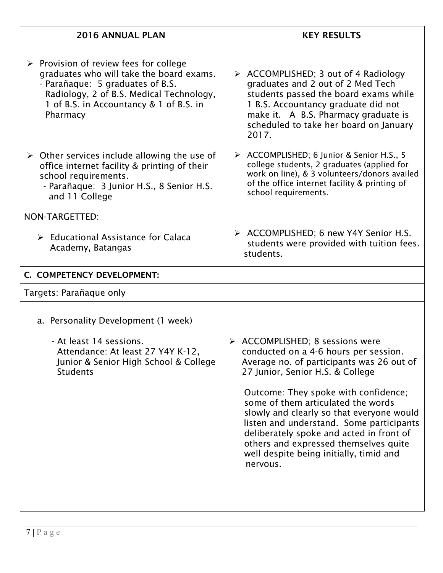| 2016 ANNUAL PLAN                                                                                                                                                                                                                         | <b>KEY RESULTS</b>                                                                                                                                                                                                                                                                                                                                                                                                                                                           |
|------------------------------------------------------------------------------------------------------------------------------------------------------------------------------------------------------------------------------------------|------------------------------------------------------------------------------------------------------------------------------------------------------------------------------------------------------------------------------------------------------------------------------------------------------------------------------------------------------------------------------------------------------------------------------------------------------------------------------|
| $\triangleright$ Provision of review fees for college<br>graduates who will take the board exams.<br>- Parañaque: 5 graduates of B.S.<br>Radiology, 2 of B.S. Medical Technology,<br>1 of B.S. in Accountancy & 1 of B.S. in<br>Pharmacy | $\triangleright$ ACCOMPLISHED; 3 out of 4 Radiology<br>graduates and 2 out of 2 Med Tech<br>students passed the board exams while<br>1 B.S. Accountancy graduate did not<br>make it. A B.S. Pharmacy graduate is<br>scheduled to take her board on January<br>2017.                                                                                                                                                                                                          |
| $\triangleright$ Other services include allowing the use of<br>office internet facility & printing of their<br>school requirements.<br>- Parañaque: 3 Junior H.S., 8 Senior H.S.<br>and 11 College                                       | > ACCOMPLISHED; 6 Junior & Senior H.S., 5<br>college students, 2 graduates (applied for<br>work on line), & 3 volunteers/donors availed<br>of the office internet facility & printing of<br>school requirements.                                                                                                                                                                                                                                                             |
| NON-TARGETTED:                                                                                                                                                                                                                           |                                                                                                                                                                                                                                                                                                                                                                                                                                                                              |
| $\triangleright$ Educational Assistance for Calaca<br>Academy, Batangas                                                                                                                                                                  | > ACCOMPLISHED; 6 new Y4Y Senior H.S.<br>students were provided with tuition fees.<br>students.                                                                                                                                                                                                                                                                                                                                                                              |
| C. COMPETENCY DEVELOPMENT:                                                                                                                                                                                                               |                                                                                                                                                                                                                                                                                                                                                                                                                                                                              |
| Targets: Parañaque only                                                                                                                                                                                                                  |                                                                                                                                                                                                                                                                                                                                                                                                                                                                              |
| a. Personality Development (1 week)                                                                                                                                                                                                      |                                                                                                                                                                                                                                                                                                                                                                                                                                                                              |
| - At least 14 sessions.<br>Attendance: At least 27 Y4Y K-12,<br>Junior & Senior High School & College<br><b>Students</b>                                                                                                                 | > ACCOMPLISHED; 8 sessions were<br>conducted on a 4-6 hours per session.<br>Average no. of participants was 26 out of<br>27 Junior, Senior H.S. & College<br>Outcome: They spoke with confidence;<br>some of them articulated the words<br>slowly and clearly so that everyone would<br>listen and understand. Some participants<br>deliberately spoke and acted in front of<br>others and expressed themselves quite<br>well despite being initially, timid and<br>nervous. |
|                                                                                                                                                                                                                                          |                                                                                                                                                                                                                                                                                                                                                                                                                                                                              |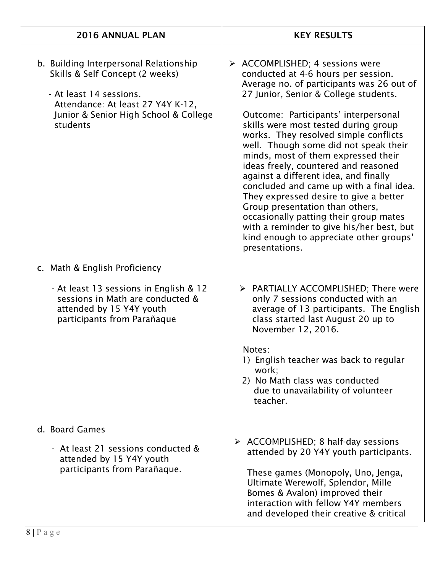| 2016 ANNUAL PLAN                                                                                                                                                                               | <b>KEY RESULTS</b>                                                                                                                                                                                                                                                                                                                                                                                                                                                                                                                                                                                                                                                                                                                                 |
|------------------------------------------------------------------------------------------------------------------------------------------------------------------------------------------------|----------------------------------------------------------------------------------------------------------------------------------------------------------------------------------------------------------------------------------------------------------------------------------------------------------------------------------------------------------------------------------------------------------------------------------------------------------------------------------------------------------------------------------------------------------------------------------------------------------------------------------------------------------------------------------------------------------------------------------------------------|
| b. Building Interpersonal Relationship<br>Skills & Self Concept (2 weeks)<br>- At least 14 sessions.<br>Attendance: At least 27 Y4Y K-12,<br>Junior & Senior High School & College<br>students | $\triangleright$ ACCOMPLISHED; 4 sessions were<br>conducted at 4-6 hours per session.<br>Average no. of participants was 26 out of<br>27 Junior, Senior & College students.<br>Outcome: Participants' interpersonal<br>skills were most tested during group<br>works. They resolved simple conflicts<br>well. Though some did not speak their<br>minds, most of them expressed their<br>ideas freely, countered and reasoned<br>against a different idea, and finally<br>concluded and came up with a final idea.<br>They expressed desire to give a better<br>Group presentation than others,<br>occasionally patting their group mates<br>with a reminder to give his/her best, but<br>kind enough to appreciate other groups'<br>presentations. |
| c. Math & English Proficiency                                                                                                                                                                  |                                                                                                                                                                                                                                                                                                                                                                                                                                                                                                                                                                                                                                                                                                                                                    |
| - At least 13 sessions in English & 12<br>sessions in Math are conducted &<br>attended by 15 Y4Y youth<br>participants from Parañaque                                                          | > PARTIALLY ACCOMPLISHED; There were<br>only 7 sessions conducted with an<br>average of 13 participants. The English<br>class started last August 20 up to<br>November 12, 2016.<br>Notes:<br>1) English teacher was back to regular<br>work;<br>2) No Math class was conducted<br>due to unavailability of volunteer<br>teacher.                                                                                                                                                                                                                                                                                                                                                                                                                  |
| d. Board Games<br>- At least 21 sessions conducted &<br>attended by 15 Y4Y youth<br>participants from Parañaque.                                                                               | $\triangleright$ ACCOMPLISHED; 8 half-day sessions<br>attended by 20 Y4Y youth participants.<br>These games (Monopoly, Uno, Jenga,<br>Ultimate Werewolf, Splendor, Mille<br>Bomes & Avalon) improved their<br>interaction with fellow Y4Y members<br>and developed their creative & critical                                                                                                                                                                                                                                                                                                                                                                                                                                                       |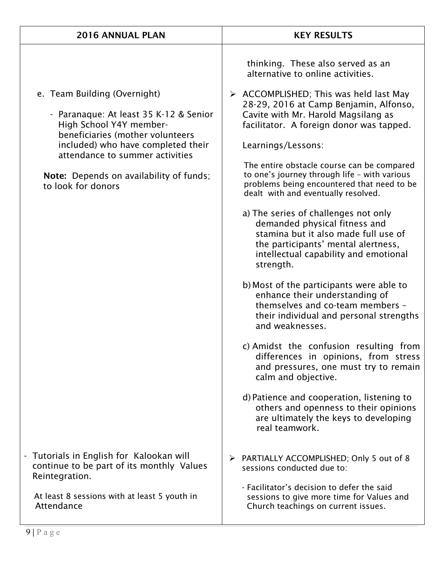| <b>2016 ANNUAL PLAN</b>                                                                                                                                                                                                                                                         | <b>KEY RESULTS</b>                                                                                                                                                                                                                                                                                                                                                                                                                                                                                                                                                                                                                                                                                                                                                                                                                                                                                                                                                                                                                                                                                                                                                     |
|---------------------------------------------------------------------------------------------------------------------------------------------------------------------------------------------------------------------------------------------------------------------------------|------------------------------------------------------------------------------------------------------------------------------------------------------------------------------------------------------------------------------------------------------------------------------------------------------------------------------------------------------------------------------------------------------------------------------------------------------------------------------------------------------------------------------------------------------------------------------------------------------------------------------------------------------------------------------------------------------------------------------------------------------------------------------------------------------------------------------------------------------------------------------------------------------------------------------------------------------------------------------------------------------------------------------------------------------------------------------------------------------------------------------------------------------------------------|
| e. Team Building (Overnight)<br>- Paranaque: At least 35 K-12 & Senior<br>High School Y4Y member-<br>beneficiaries (mother volunteers<br>included) who have completed their<br>attendance to summer activities<br>Note: Depends on availability of funds;<br>to look for donors | thinking. These also served as an<br>alternative to online activities.<br>$\triangleright$ ACCOMPLISHED; This was held last May<br>28-29, 2016 at Camp Benjamin, Alfonso,<br>Cavite with Mr. Harold Magsilang as<br>facilitator. A foreign donor was tapped.<br>Learnings/Lessons:<br>The entire obstacle course can be compared<br>to one's journey through life - with various<br>problems being encountered that need to be<br>dealt with and eventually resolved.<br>a) The series of challenges not only<br>demanded physical fitness and<br>stamina but it also made full use of<br>the participants' mental alertness,<br>intellectual capability and emotional<br>strength.<br>b) Most of the participants were able to<br>enhance their understanding of<br>themselves and co-team members -<br>their individual and personal strengths<br>and weaknesses.<br>c) Amidst the confusion resulting from<br>differences in opinions, from stress<br>and pressures, one must try to remain<br>calm and objective.<br>d) Patience and cooperation, listening to<br>others and openness to their opinions<br>are ultimately the keys to developing<br>real teamwork. |
| Tutorials in English for Kalookan will<br>continue to be part of its monthly Values<br>Reintegration.<br>At least 8 sessions with at least 5 youth in<br>Attendance                                                                                                             | > PARTIALLY ACCOMPLISHED; Only 5 out of 8<br>sessions conducted due to:<br>- Facilitator's decision to defer the said<br>sessions to give more time for Values and<br>Church teachings on current issues.                                                                                                                                                                                                                                                                                                                                                                                                                                                                                                                                                                                                                                                                                                                                                                                                                                                                                                                                                              |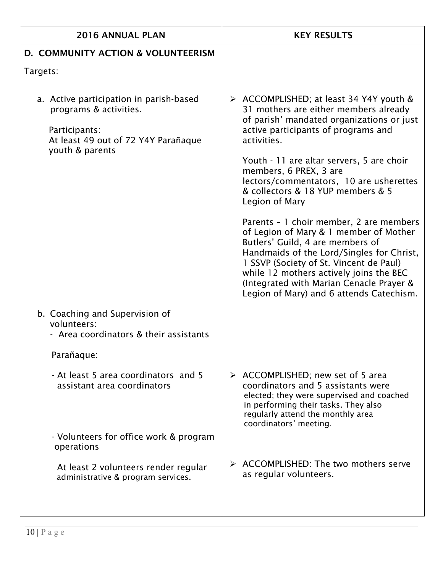## D. COMMUNITY ACTION & VOLUNTEERISM

## Targets:

| a. Active participation in parish-based<br>programs & activities.<br>Participants:<br>At least 49 out of 72 Y4Y Parañaque<br>youth & parents | > ACCOMPLISHED; at least 34 Y4Y youth &<br>31 mothers are either members already<br>of parish' mandated organizations or just<br>active participants of programs and<br>activities.<br>Youth - 11 are altar servers, 5 are choir<br>members, 6 PREX, 3 are<br>lectors/commentators, 10 are usherettes<br>& collectors & 18 YUP members & 5<br>Legion of Mary<br>Parents - 1 choir member, 2 are members<br>of Legion of Mary & 1 member of Mother<br>Butlers' Guild, 4 are members of<br>Handmaids of the Lord/Singles for Christ,<br>1 SSVP (Society of St. Vincent de Paul)<br>while 12 mothers actively joins the BEC<br>(Integrated with Marian Cenacle Prayer &<br>Legion of Mary) and 6 attends Catechism. |
|----------------------------------------------------------------------------------------------------------------------------------------------|------------------------------------------------------------------------------------------------------------------------------------------------------------------------------------------------------------------------------------------------------------------------------------------------------------------------------------------------------------------------------------------------------------------------------------------------------------------------------------------------------------------------------------------------------------------------------------------------------------------------------------------------------------------------------------------------------------------|
| b. Coaching and Supervision of<br>volunteers:<br>- Area coordinators & their assistants                                                      |                                                                                                                                                                                                                                                                                                                                                                                                                                                                                                                                                                                                                                                                                                                  |
| Parañaque:                                                                                                                                   |                                                                                                                                                                                                                                                                                                                                                                                                                                                                                                                                                                                                                                                                                                                  |
| - At least 5 area coordinators and 5<br>assistant area coordinators                                                                          | $\triangleright$ ACCOMPLISHED; new set of 5 area<br>coordinators and 5 assistants were<br>elected; they were supervised and coached<br>in performing their tasks. They also<br>regularly attend the monthly area<br>coordinators' meeting.                                                                                                                                                                                                                                                                                                                                                                                                                                                                       |
| - Volunteers for office work & program<br>operations                                                                                         |                                                                                                                                                                                                                                                                                                                                                                                                                                                                                                                                                                                                                                                                                                                  |
| At least 2 volunteers render regular<br>administrative & program services.                                                                   | > ACCOMPLISHED: The two mothers serve<br>as regular volunteers.                                                                                                                                                                                                                                                                                                                                                                                                                                                                                                                                                                                                                                                  |
|                                                                                                                                              |                                                                                                                                                                                                                                                                                                                                                                                                                                                                                                                                                                                                                                                                                                                  |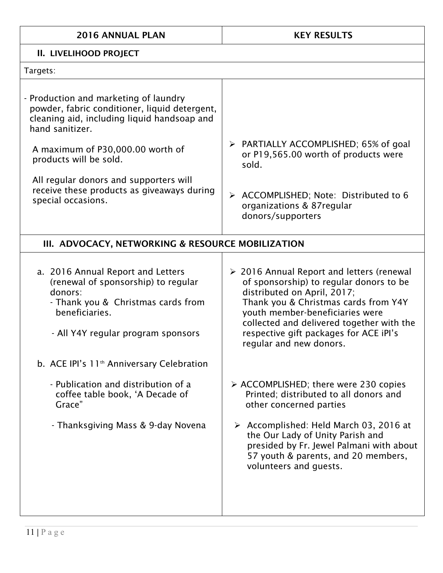| 2016 ANNUAL PLAN                                                                                                                                                                                                                                                                                                                                                     | <b>KEY RESULTS</b>                                                                                                                                                                                                                                                                                                                                                                                                                                                                      |  |
|----------------------------------------------------------------------------------------------------------------------------------------------------------------------------------------------------------------------------------------------------------------------------------------------------------------------------------------------------------------------|-----------------------------------------------------------------------------------------------------------------------------------------------------------------------------------------------------------------------------------------------------------------------------------------------------------------------------------------------------------------------------------------------------------------------------------------------------------------------------------------|--|
| II. LIVELIHOOD PROJECT                                                                                                                                                                                                                                                                                                                                               |                                                                                                                                                                                                                                                                                                                                                                                                                                                                                         |  |
| Targets:                                                                                                                                                                                                                                                                                                                                                             |                                                                                                                                                                                                                                                                                                                                                                                                                                                                                         |  |
| - Production and marketing of laundry<br>powder, fabric conditioner, liquid detergent,<br>cleaning aid, including liquid handsoap and<br>hand sanitizer.<br>A maximum of P30,000.00 worth of<br>products will be sold.<br>All regular donors and supporters will<br>receive these products as giveaways during<br>special occasions.                                 | $\triangleright$ PARTIALLY ACCOMPLISHED; 65% of goal<br>or P19,565.00 worth of products were<br>sold.<br>> ACCOMPLISHED; Note: Distributed to 6<br>organizations & 87regular<br>donors/supporters                                                                                                                                                                                                                                                                                       |  |
| III. ADVOCACY, NETWORKING & RESOURCE MOBILIZATION                                                                                                                                                                                                                                                                                                                    |                                                                                                                                                                                                                                                                                                                                                                                                                                                                                         |  |
| a. 2016 Annual Report and Letters<br>(renewal of sponsorship) to regular<br>donors:<br>- Thank you & Christmas cards from<br>beneficiaries.<br>- All Y4Y regular program sponsors<br>b. ACE IPI's 11 <sup>th</sup> Anniversary Celebration<br>- Publication and distribution of a<br>coffee table book, 'A Decade of<br>Grace"<br>- Thanksgiving Mass & 9-day Novena | ▶ 2016 Annual Report and letters (renewal<br>of sponsorship) to regular donors to be<br>distributed on April, 2017;<br>Thank you & Christmas cards from Y4Y<br>youth member-beneficiaries were<br>collected and delivered together with the<br>respective gift packages for ACE iPI's<br>regular and new donors.<br>$\triangleright$ ACCOMPLISHED; there were 230 copies<br>Printed; distributed to all donors and<br>other concerned parties<br>> Accomplished: Held March 03, 2016 at |  |
|                                                                                                                                                                                                                                                                                                                                                                      | the Our Lady of Unity Parish and<br>presided by Fr. Jewel Palmani with about<br>57 youth & parents, and 20 members,<br>volunteers and guests.                                                                                                                                                                                                                                                                                                                                           |  |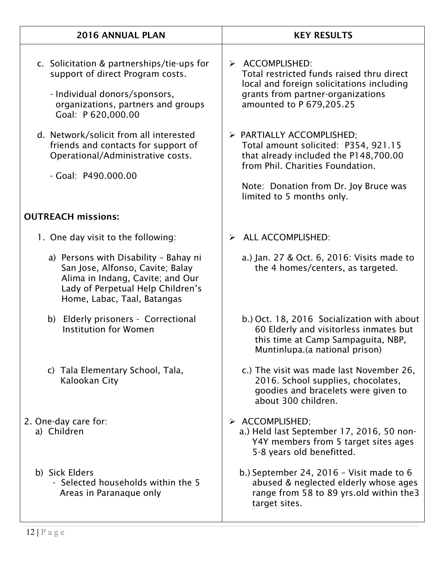| <b>2016 ANNUAL PLAN</b>                                                                                                                                                           | <b>KEY RESULTS</b>                                                                                                                                                                                                   |
|-----------------------------------------------------------------------------------------------------------------------------------------------------------------------------------|----------------------------------------------------------------------------------------------------------------------------------------------------------------------------------------------------------------------|
| c. Solicitation & partnerships/tie-ups for<br>support of direct Program costs.<br>- Individual donors/sponsors,<br>organizations, partners and groups<br>Goal: P 620,000.00       | $\triangleright$ ACCOMPLISHED:<br>Total restricted funds raised thru direct<br>local and foreign solicitations including<br>grants from partner-organizations<br>amounted to P 679,205.25                            |
| d. Network/solicit from all interested<br>friends and contacts for support of<br>Operational/Administrative costs.<br>- Goal: P490.000.00                                         | > PARTIALLY ACCOMPLISHED;<br>Total amount solicited: P354, 921.15<br>that already included the P148,700.00<br>from Phil. Charities Foundation.<br>Note: Donation from Dr. Joy Bruce was<br>limited to 5 months only. |
| <b>OUTREACH missions:</b>                                                                                                                                                         |                                                                                                                                                                                                                      |
| 1. One day visit to the following:                                                                                                                                                | <b>ALL ACCOMPLISHED:</b><br>➤                                                                                                                                                                                        |
| a) Persons with Disability - Bahay ni<br>San Jose, Alfonso, Cavite; Balay<br>Alima in Indang, Cavite; and Our<br>Lady of Perpetual Help Children's<br>Home, Labac, Taal, Batangas | a.) Jan. 27 & Oct. 6, 2016: Visits made to<br>the 4 homes/centers, as targeted.                                                                                                                                      |
| b) Elderly prisoners - Correctional<br><b>Institution for Women</b>                                                                                                               | b.) Oct. 18, 2016 Socialization with about<br>60 Elderly and visitorless inmates but<br>this time at Camp Sampaguita, NBP,<br>Muntinlupa.(a national prison)                                                         |
| c) Tala Elementary School, Tala,<br>Kalookan City                                                                                                                                 | c.) The visit was made last November 26,<br>2016. School supplies, chocolates,<br>goodies and bracelets were given to<br>about 300 children.                                                                         |
| 2. One-day care for:<br>a) Children                                                                                                                                               | > ACCOMPLISHED;<br>a.) Held last September 17, 2016, 50 non-<br>Y4Y members from 5 target sites ages<br>5-8 years old benefitted.                                                                                    |
| b) Sick Elders<br>- Selected households within the 5<br>Areas in Paranaque only                                                                                                   | b.) September 24, 2016 - Visit made to 6<br>abused & neglected elderly whose ages<br>range from 58 to 89 yrs old within the 3<br>target sites.                                                                       |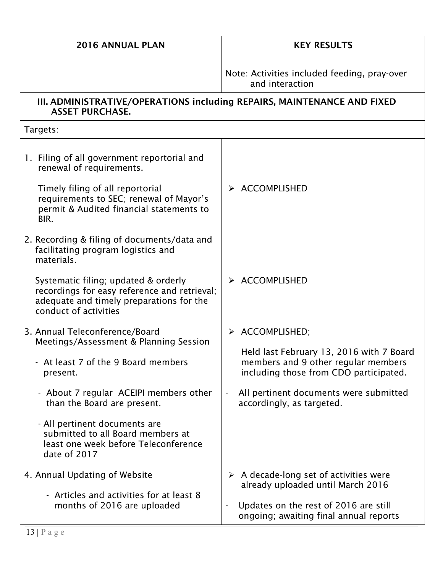| 2016 ANNUAL PLAN                                                                                                                                          | <b>KEY RESULTS</b>                                                                                                        |  |
|-----------------------------------------------------------------------------------------------------------------------------------------------------------|---------------------------------------------------------------------------------------------------------------------------|--|
|                                                                                                                                                           | Note: Activities included feeding, pray-over<br>and interaction                                                           |  |
| III. ADMINISTRATIVE/OPERATIONS including REPAIRS, MAINTENANCE AND FIXED<br><b>ASSET PURCHASE.</b>                                                         |                                                                                                                           |  |
| Targets:                                                                                                                                                  |                                                                                                                           |  |
| 1. Filing of all government reportorial and<br>renewal of requirements.                                                                                   |                                                                                                                           |  |
| Timely filing of all reportorial<br>requirements to SEC; renewal of Mayor's<br>permit & Audited financial statements to<br>BIR.                           | <b>ACCOMPLISHED</b>                                                                                                       |  |
| 2. Recording & filing of documents/data and<br>facilitating program logistics and<br>materials.                                                           |                                                                                                                           |  |
| Systematic filing; updated & orderly<br>recordings for easy reference and retrieval;<br>adequate and timely preparations for the<br>conduct of activities | $\triangleright$ ACCOMPLISHED                                                                                             |  |
| 3. Annual Teleconference/Board<br>Meetings/Assessment & Planning Session                                                                                  | > ACCOMPLISHED;                                                                                                           |  |
| - At least 7 of the 9 Board members<br>present.                                                                                                           | Held last February 13, 2016 with 7 Board<br>members and 9 other regular members<br>including those from CDO participated. |  |
| - About 7 regular ACEIPI members other<br>than the Board are present.                                                                                     | All pertinent documents were submitted<br>accordingly, as targeted.                                                       |  |
| - All pertinent documents are<br>submitted to all Board members at<br>least one week before Teleconference<br>date of 2017                                |                                                                                                                           |  |
| 4. Annual Updating of Website                                                                                                                             | $\triangleright$ A decade-long set of activities were<br>already uploaded until March 2016                                |  |
| - Articles and activities for at least 8<br>months of 2016 are uploaded                                                                                   | Updates on the rest of 2016 are still<br>ongoing; awaiting final annual reports                                           |  |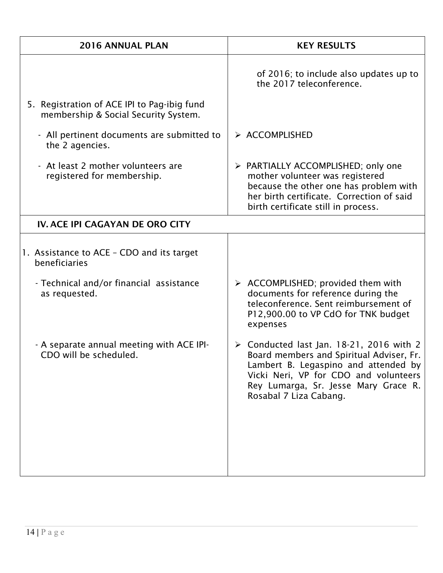| <b>2016 ANNUAL PLAN</b>                                                             | <b>KEY RESULTS</b>                                                                                                                                                                                                                                     |
|-------------------------------------------------------------------------------------|--------------------------------------------------------------------------------------------------------------------------------------------------------------------------------------------------------------------------------------------------------|
|                                                                                     | of 2016; to include also updates up to<br>the 2017 teleconference.                                                                                                                                                                                     |
| 5. Registration of ACE IPI to Pag-ibig fund<br>membership & Social Security System. |                                                                                                                                                                                                                                                        |
| - All pertinent documents are submitted to<br>the 2 agencies.                       | > ACCOMPLISHED                                                                                                                                                                                                                                         |
| - At least 2 mother volunteers are<br>registered for membership.                    | > PARTIALLY ACCOMPLISHED; only one<br>mother volunteer was registered<br>because the other one has problem with<br>her birth certificate. Correction of said<br>birth certificate still in process.                                                    |
| IV. ACE IPI CAGAYAN DE ORO CITY                                                     |                                                                                                                                                                                                                                                        |
| 1. Assistance to ACE – CDO and its target<br>beneficiaries                          |                                                                                                                                                                                                                                                        |
| - Technical and/or financial assistance<br>as requested.                            | $\triangleright$ ACCOMPLISHED; provided them with<br>documents for reference during the<br>teleconference. Sent reimbursement of<br>P12,900.00 to VP CdO for TNK budget<br>expenses                                                                    |
| - A separate annual meeting with ACE IPI-<br>CDO will be scheduled.                 | $\triangleright$ Conducted last Jan. 18-21, 2016 with 2<br>Board members and Spiritual Adviser, Fr.<br>Lambert B. Legaspino and attended by<br>Vicki Neri, VP for CDO and volunteers<br>Rey Lumarga, Sr. Jesse Mary Grace R.<br>Rosabal 7 Liza Cabang. |
|                                                                                     |                                                                                                                                                                                                                                                        |